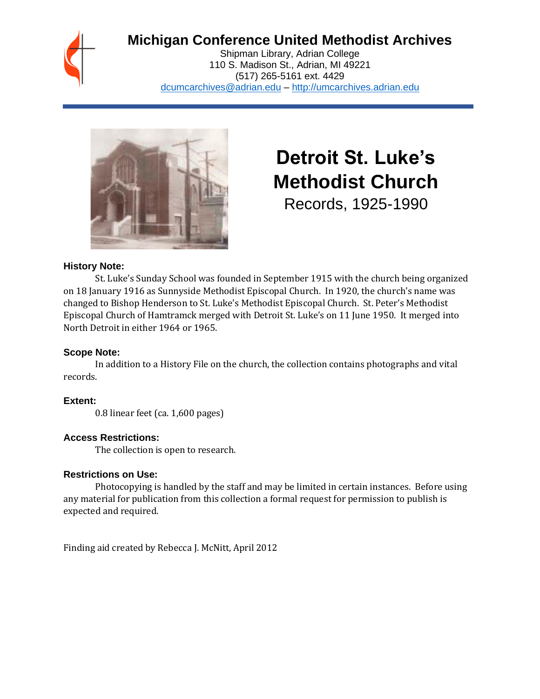## **Michigan Conference United Methodist Archives**

Shipman Library, Adrian College 110 S. Madison St., Adrian, MI 49221 (517) 265-5161 ext. 4429 [dcumcarchives@adrian.edu](mailto:dcumcarchives@adrian.edu) – [http://umcarchives.adrian.edu](http://umcarchives.adrian.edu/)



# **Detroit St. Luke's Methodist Church**

Records, 1925-1990

#### **History Note:**

St. Luke's Sunday School was founded in September 1915 with the church being organized on 18 January 1916 as Sunnyside Methodist Episcopal Church. In 1920, the church's name was changed to Bishop Henderson to St. Luke's Methodist Episcopal Church. St. Peter's Methodist Episcopal Church of Hamtramck merged with Detroit St. Luke's on 11 June 1950. It merged into North Detroit in either 1964 or 1965.

#### **Scope Note:**

In addition to a History File on the church, the collection contains photographs and vital records.

#### **Extent:**

0.8 linear feet (ca. 1,600 pages)

#### **Access Restrictions:**

The collection is open to research.

#### **Restrictions on Use:**

Photocopying is handled by the staff and may be limited in certain instances. Before using any material for publication from this collection a formal request for permission to publish is expected and required.

Finding aid created by Rebecca J. McNitt, April 2012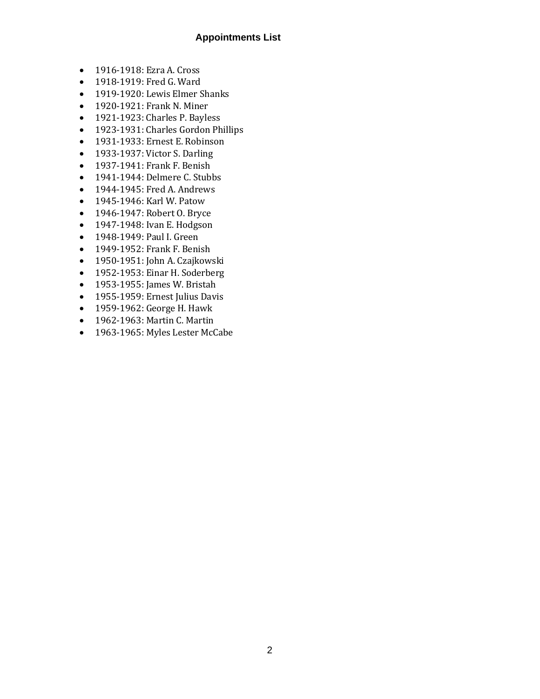#### **Appointments List**

- 1916-1918: Ezra A. Cross
- 1918-1919: Fred G. Ward
- 1919-1920: Lewis Elmer Shanks
- 1920-1921: Frank N. Miner
- 1921-1923: Charles P. Bayless
- 1923-1931: Charles Gordon Phillips
- 1931-1933: Ernest E. Robinson
- 1933-1937: Victor S. Darling
- 1937-1941: Frank F. Benish
- 1941-1944: Delmere C. Stubbs
- 1944-1945: Fred A. Andrews
- 1945-1946: Karl W. Patow
- 1946-1947: Robert O. Bryce
- 1947-1948: Ivan E. Hodgson
- 1948-1949: Paul I. Green
- 1949-1952: Frank F. Benish
- 1950-1951: John A. Czajkowski
- 1952-1953: Einar H. Soderberg
- 1953-1955: James W. Bristah
- 1955-1959: Ernest Julius Davis
- 1959-1962: George H. Hawk
- 1962-1963: Martin C. Martin
- 1963-1965: Myles Lester McCabe